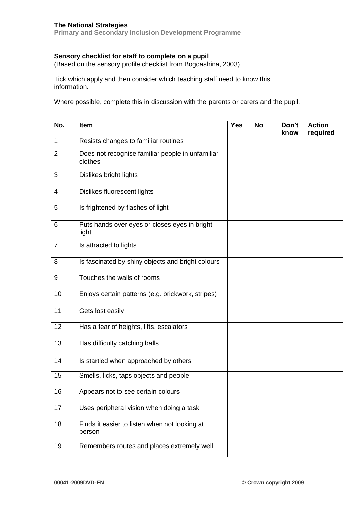## **The National Strategies**

**Primary and Secondary Inclusion Development Programme**

## **Sensory checklist for staff to complete on a pupil**

(Based on the sensory profile checklist from Bogdashina, 2003)

Tick which apply and then consider which teaching staff need to know this information.

Where possible, complete this in discussion with the parents or carers and the pupil.

| No.            | Item                                                        | <b>Yes</b> | <b>No</b> | Don't<br>know | <b>Action</b><br>required |
|----------------|-------------------------------------------------------------|------------|-----------|---------------|---------------------------|
| 1              | Resists changes to familiar routines                        |            |           |               |                           |
| $\overline{2}$ | Does not recognise familiar people in unfamiliar<br>clothes |            |           |               |                           |
| 3              | Dislikes bright lights                                      |            |           |               |                           |
| 4              | Dislikes fluorescent lights                                 |            |           |               |                           |
| 5              | Is frightened by flashes of light                           |            |           |               |                           |
| 6              | Puts hands over eyes or closes eyes in bright<br>light      |            |           |               |                           |
| $\overline{7}$ | Is attracted to lights                                      |            |           |               |                           |
| 8              | Is fascinated by shiny objects and bright colours           |            |           |               |                           |
| 9              | Touches the walls of rooms                                  |            |           |               |                           |
| 10             | Enjoys certain patterns (e.g. brickwork, stripes)           |            |           |               |                           |
| 11             | Gets lost easily                                            |            |           |               |                           |
| 12             | Has a fear of heights, lifts, escalators                    |            |           |               |                           |
| 13             | Has difficulty catching balls                               |            |           |               |                           |
| 14             | Is startled when approached by others                       |            |           |               |                           |
| 15             | Smells, licks, taps objects and people                      |            |           |               |                           |
| 16             | Appears not to see certain colours                          |            |           |               |                           |
| 17             | Uses peripheral vision when doing a task                    |            |           |               |                           |
| 18             | Finds it easier to listen when not looking at<br>person     |            |           |               |                           |
| 19             | Remembers routes and places extremely well                  |            |           |               |                           |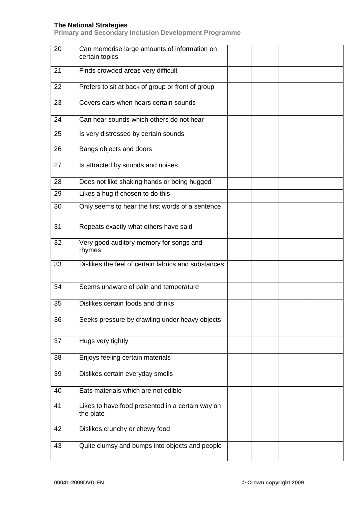## **The National Strategies**

**Primary and Secondary Inclusion Development Programme**

| 20 | Can memorise large amounts of information on<br>certain topics |  |  |
|----|----------------------------------------------------------------|--|--|
| 21 | Finds crowded areas very difficult                             |  |  |
| 22 | Prefers to sit at back of group or front of group              |  |  |
| 23 | Covers ears when hears certain sounds                          |  |  |
| 24 | Can hear sounds which others do not hear                       |  |  |
| 25 | Is very distressed by certain sounds                           |  |  |
| 26 | Bangs objects and doors                                        |  |  |
| 27 | Is attracted by sounds and noises                              |  |  |
| 28 | Does not like shaking hands or being hugged                    |  |  |
| 29 | Likes a hug if chosen to do this                               |  |  |
| 30 | Only seems to hear the first words of a sentence               |  |  |
| 31 | Repeats exactly what others have said                          |  |  |
| 32 | Very good auditory memory for songs and<br>rhymes              |  |  |
| 33 | Dislikes the feel of certain fabrics and substances            |  |  |
| 34 | Seems unaware of pain and temperature                          |  |  |
| 35 | Dislikes certain foods and drinks                              |  |  |
| 36 | Seeks pressure by crawling under heavy objects                 |  |  |
| 37 | Hugs very tightly                                              |  |  |
| 38 | Enjoys feeling certain materials                               |  |  |
| 39 | Dislikes certain everyday smells                               |  |  |
| 40 | Eats materials which are not edible                            |  |  |
| 41 | Likes to have food presented in a certain way on<br>the plate  |  |  |
| 42 | Dislikes crunchy or chewy food                                 |  |  |
| 43 | Quite clumsy and bumps into objects and people                 |  |  |